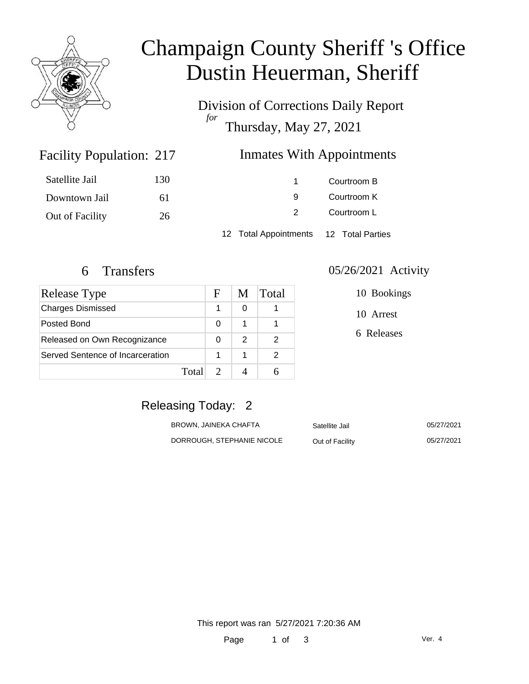

# Champaign County Sheriff 's Office Dustin Heuerman, Sheriff

Division of Corrections Daily Report *for* Thursday, May 27, 2021

### Inmates With Appointments

| Satellite Jail  | 130 |                       | Courtroom B      |
|-----------------|-----|-----------------------|------------------|
| Downtown Jail   | 61  | 9                     | Courtroom K      |
| Out of Facility | 26  | 2                     | Courtroom L      |
|                 |     | 12 Total Appointments | 12 Total Parties |

Facility Population: 217

| Release Type                     |       | F | M | Total |
|----------------------------------|-------|---|---|-------|
| <b>Charges Dismissed</b>         |       | 1 | 0 |       |
| Posted Bond                      |       | 0 |   |       |
| Released on Own Recognizance     |       | 0 | 2 | 2     |
| Served Sentence of Incarceration |       |   |   |       |
|                                  | Total |   |   |       |

#### 6 Transfers 05/26/2021 Activity

10 Bookings

10 Arrest

6 Releases

# Releasing Today: 2

| BROWN, JAINEKA CHAFTA      | Satellite Jail  | 05/27/2021 |
|----------------------------|-----------------|------------|
| DORROUGH, STEPHANIE NICOLE | Out of Facility | 05/27/2021 |

This report was ran 5/27/2021 7:20:36 AM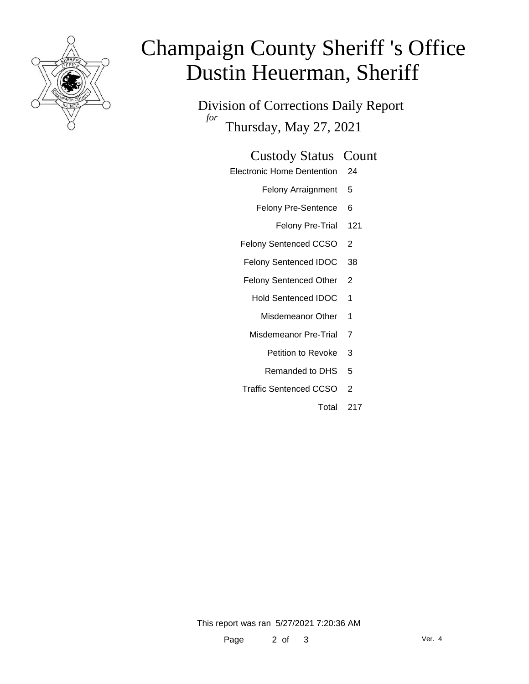

# Champaign County Sheriff 's Office Dustin Heuerman, Sheriff

Division of Corrections Daily Report *for* Thursday, May 27, 2021

#### Custody Status Count

- Electronic Home Dentention 24
	- Felony Arraignment 5
	- Felony Pre-Sentence 6
		- Felony Pre-Trial 121
	- Felony Sentenced CCSO 2
	- Felony Sentenced IDOC 38
	- Felony Sentenced Other 2
		- Hold Sentenced IDOC 1
			- Misdemeanor Other 1
		- Misdemeanor Pre-Trial 7
			- Petition to Revoke 3
			- Remanded to DHS 5
	- Traffic Sentenced CCSO 2
		- Total 217

This report was ran 5/27/2021 7:20:36 AM